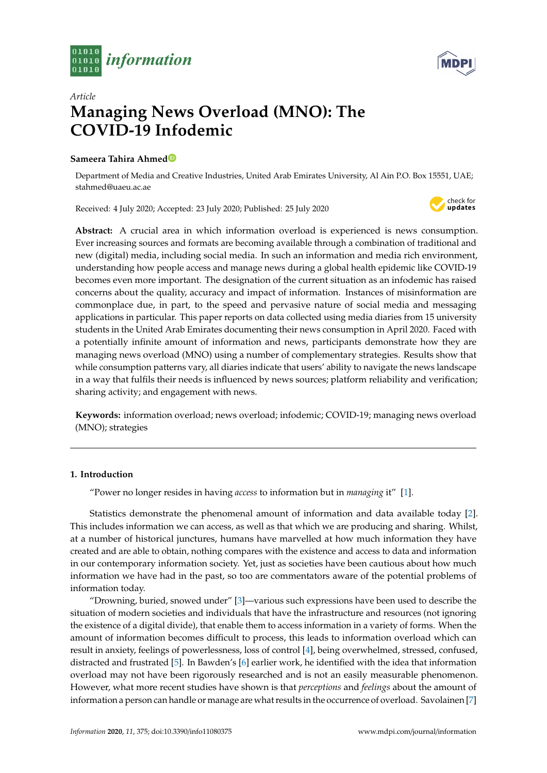



# *Article* **Managing News Overload (MNO): The COVID-19 Infodemic**

# **Sameera Tahira Ahme[d](https://orcid.org/0000-0003-0627-1883)**

Department of Media and Creative Industries, United Arab Emirates University, Al Ain P.O. Box 15551, UAE; stahmed@uaeu.ac.ae

Received: 4 July 2020; Accepted: 23 July 2020; Published: 25 July 2020



**Abstract:** A crucial area in which information overload is experienced is news consumption. Ever increasing sources and formats are becoming available through a combination of traditional and new (digital) media, including social media. In such an information and media rich environment, understanding how people access and manage news during a global health epidemic like COVID-19 becomes even more important. The designation of the current situation as an infodemic has raised concerns about the quality, accuracy and impact of information. Instances of misinformation are commonplace due, in part, to the speed and pervasive nature of social media and messaging applications in particular. This paper reports on data collected using media diaries from 15 university students in the United Arab Emirates documenting their news consumption in April 2020. Faced with a potentially infinite amount of information and news, participants demonstrate how they are managing news overload (MNO) using a number of complementary strategies. Results show that while consumption patterns vary, all diaries indicate that users' ability to navigate the news landscape in a way that fulfils their needs is influenced by news sources; platform reliability and verification; sharing activity; and engagement with news.

**Keywords:** information overload; news overload; infodemic; COVID-19; managing news overload (MNO); strategies

# **1. Introduction**

"Power no longer resides in having *access* to information but in *managing* it" [\[1\]](#page-16-0).

Statistics demonstrate the phenomenal amount of information and data available today [\[2\]](#page-16-1). This includes information we can access, as well as that which we are producing and sharing. Whilst, at a number of historical junctures, humans have marvelled at how much information they have created and are able to obtain, nothing compares with the existence and access to data and information in our contemporary information society. Yet, just as societies have been cautious about how much information we have had in the past, so too are commentators aware of the potential problems of information today.

"Drowning, buried, snowed under" [\[3\]](#page-16-2)—various such expressions have been used to describe the situation of modern societies and individuals that have the infrastructure and resources (not ignoring the existence of a digital divide), that enable them to access information in a variety of forms. When the amount of information becomes difficult to process, this leads to information overload which can result in anxiety, feelings of powerlessness, loss of control [\[4\]](#page-16-3), being overwhelmed, stressed, confused, distracted and frustrated [\[5\]](#page-16-4). In Bawden's [\[6\]](#page-16-5) earlier work, he identified with the idea that information overload may not have been rigorously researched and is not an easily measurable phenomenon. However, what more recent studies have shown is that *perceptions* and *feelings* about the amount of information a person can handle or manage are what results in the occurrence of overload. Savolainen [\[7\]](#page-16-6)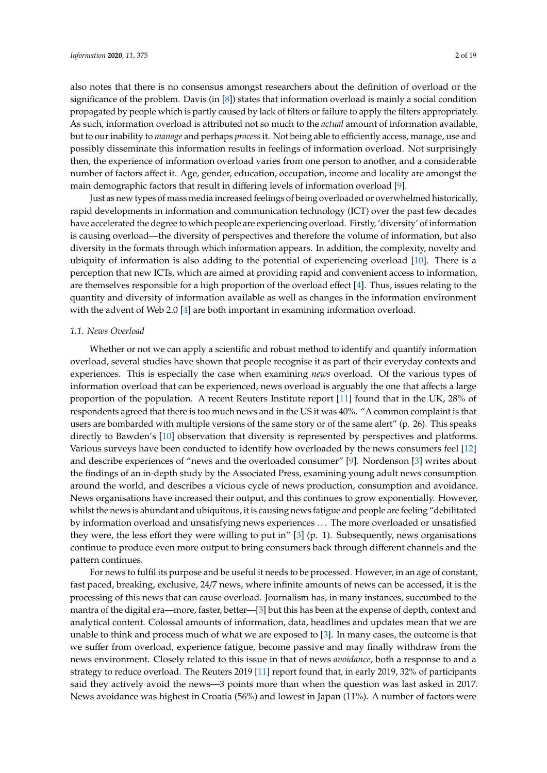also notes that there is no consensus amongst researchers about the definition of overload or the significance of the problem. Davis (in [\[8\]](#page-16-7)) states that information overload is mainly a social condition propagated by people which is partly caused by lack of filters or failure to apply the filters appropriately. As such, information overload is attributed not so much to the *actual* amount of information available, but to our inability to *manage* and perhaps *process*it. Not being able to efficiently access, manage, use and possibly disseminate this information results in feelings of information overload. Not surprisingly then, the experience of information overload varies from one person to another, and a considerable number of factors affect it. Age, gender, education, occupation, income and locality are amongst the main demographic factors that result in differing levels of information overload [\[9\]](#page-16-8).

Just as new types of mass media increased feelings of being overloaded or overwhelmed historically, rapid developments in information and communication technology (ICT) over the past few decades have accelerated the degree to which people are experiencing overload. Firstly, 'diversity' of information is causing overload—the diversity of perspectives and therefore the volume of information, but also diversity in the formats through which information appears. In addition, the complexity, novelty and ubiquity of information is also adding to the potential of experiencing overload [\[10\]](#page-17-0). There is a perception that new ICTs, which are aimed at providing rapid and convenient access to information, are themselves responsible for a high proportion of the overload effect [\[4\]](#page-16-3). Thus, issues relating to the quantity and diversity of information available as well as changes in the information environment with the advent of Web 2.0 [\[4\]](#page-16-3) are both important in examining information overload.

#### *1.1. News Overload*

Whether or not we can apply a scientific and robust method to identify and quantify information overload, several studies have shown that people recognise it as part of their everyday contexts and experiences. This is especially the case when examining *news* overload. Of the various types of information overload that can be experienced, news overload is arguably the one that affects a large proportion of the population. A recent Reuters Institute report [\[11\]](#page-17-1) found that in the UK, 28% of respondents agreed that there is too much news and in the US it was 40%. "A common complaint is that users are bombarded with multiple versions of the same story or of the same alert" (p. 26). This speaks directly to Bawden's [\[10\]](#page-17-0) observation that diversity is represented by perspectives and platforms. Various surveys have been conducted to identify how overloaded by the news consumers feel [\[12\]](#page-17-2) and describe experiences of "news and the overloaded consumer" [\[9\]](#page-16-8). Nordenson [\[3\]](#page-16-2) writes about the findings of an in-depth study by the Associated Press, examining young adult news consumption around the world, and describes a vicious cycle of news production, consumption and avoidance. News organisations have increased their output, and this continues to grow exponentially. However, whilst the news is abundant and ubiquitous, it is causing news fatigue and people are feeling "debilitated by information overload and unsatisfying news experiences . . . The more overloaded or unsatisfied they were, the less effort they were willing to put in" [\[3\]](#page-16-2) (p. 1). Subsequently, news organisations continue to produce even more output to bring consumers back through different channels and the pattern continues.

For news to fulfil its purpose and be useful it needs to be processed. However, in an age of constant, fast paced, breaking, exclusive, 24/7 news, where infinite amounts of news can be accessed, it is the processing of this news that can cause overload. Journalism has, in many instances, succumbed to the mantra of the digital era—more, faster, better—[\[3\]](#page-16-2) but this has been at the expense of depth, context and analytical content. Colossal amounts of information, data, headlines and updates mean that we are unable to think and process much of what we are exposed to [\[3\]](#page-16-2). In many cases, the outcome is that we suffer from overload, experience fatigue, become passive and may finally withdraw from the news environment. Closely related to this issue in that of news *avoidance*, both a response to and a strategy to reduce overload. The Reuters 2019 [\[11\]](#page-17-1) report found that, in early 2019, 32% of participants said they actively avoid the news—3 points more than when the question was last asked in 2017. News avoidance was highest in Croatia (56%) and lowest in Japan (11%). A number of factors were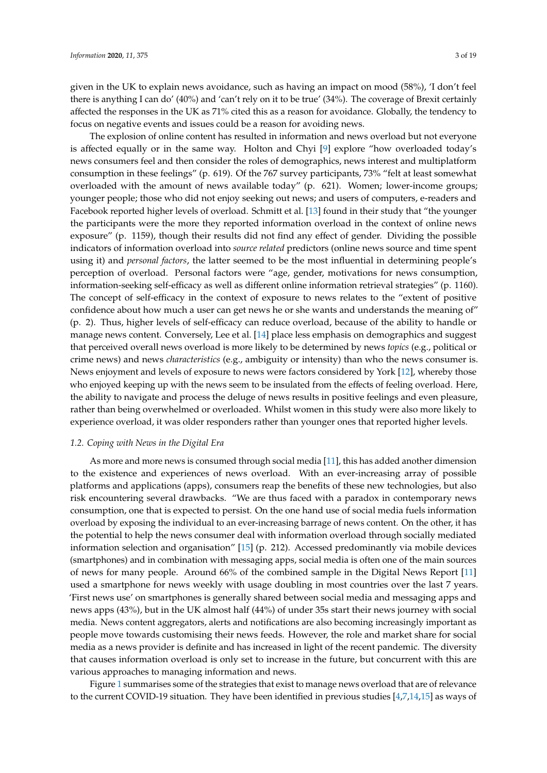given in the UK to explain news avoidance, such as having an impact on mood (58%), 'I don't feel there is anything I can do' (40%) and 'can't rely on it to be true' (34%). The coverage of Brexit certainly affected the responses in the UK as 71% cited this as a reason for avoidance. Globally, the tendency to focus on negative events and issues could be a reason for avoiding news.

The explosion of online content has resulted in information and news overload but not everyone is affected equally or in the same way. Holton and Chyi [\[9\]](#page-16-8) explore "how overloaded today's news consumers feel and then consider the roles of demographics, news interest and multiplatform consumption in these feelings" (p. 619). Of the 767 survey participants, 73% "felt at least somewhat overloaded with the amount of news available today" (p. 621). Women; lower-income groups; younger people; those who did not enjoy seeking out news; and users of computers, e-readers and Facebook reported higher levels of overload. Schmitt et al. [\[13\]](#page-17-3) found in their study that "the younger the participants were the more they reported information overload in the context of online news exposure" (p. 1159), though their results did not find any effect of gender. Dividing the possible indicators of information overload into *source related* predictors (online news source and time spent using it) and *personal factors*, the latter seemed to be the most influential in determining people's perception of overload. Personal factors were "age, gender, motivations for news consumption, information-seeking self-efficacy as well as different online information retrieval strategies" (p. 1160). The concept of self-efficacy in the context of exposure to news relates to the "extent of positive confidence about how much a user can get news he or she wants and understands the meaning of" (p. 2). Thus, higher levels of self-efficacy can reduce overload, because of the ability to handle or manage news content. Conversely, Lee et al. [\[14\]](#page-17-4) place less emphasis on demographics and suggest that perceived overall news overload is more likely to be determined by news *topics* (e.g., political or crime news) and news *characteristics* (e.g., ambiguity or intensity) than who the news consumer is. News enjoyment and levels of exposure to news were factors considered by York [\[12\]](#page-17-2), whereby those who enjoyed keeping up with the news seem to be insulated from the effects of feeling overload. Here, the ability to navigate and process the deluge of news results in positive feelings and even pleasure, rather than being overwhelmed or overloaded. Whilst women in this study were also more likely to experience overload, it was older responders rather than younger ones that reported higher levels.

## *1.2. Coping with News in the Digital Era*

As more and more news is consumed through social media [\[11\]](#page-17-1), this has added another dimension to the existence and experiences of news overload. With an ever-increasing array of possible platforms and applications (apps), consumers reap the benefits of these new technologies, but also risk encountering several drawbacks. "We are thus faced with a paradox in contemporary news consumption, one that is expected to persist. On the one hand use of social media fuels information overload by exposing the individual to an ever-increasing barrage of news content. On the other, it has the potential to help the news consumer deal with information overload through socially mediated information selection and organisation" [\[15\]](#page-17-5) (p. 212). Accessed predominantly via mobile devices (smartphones) and in combination with messaging apps, social media is often one of the main sources of news for many people. Around 66% of the combined sample in the Digital News Report [\[11\]](#page-17-1) used a smartphone for news weekly with usage doubling in most countries over the last 7 years. 'First news use' on smartphones is generally shared between social media and messaging apps and news apps (43%), but in the UK almost half (44%) of under 35s start their news journey with social media. News content aggregators, alerts and notifications are also becoming increasingly important as people move towards customising their news feeds. However, the role and market share for social media as a news provider is definite and has increased in light of the recent pandemic. The diversity that causes information overload is only set to increase in the future, but concurrent with this are various approaches to managing information and news.

Figure [1](#page-3-0) summarises some of the strategies that exist to manage news overload that are of relevance to the current COVID-19 situation. They have been identified in previous studies [\[4](#page-16-3)[,7](#page-16-6)[,14,](#page-17-4)[15\]](#page-17-5) as ways of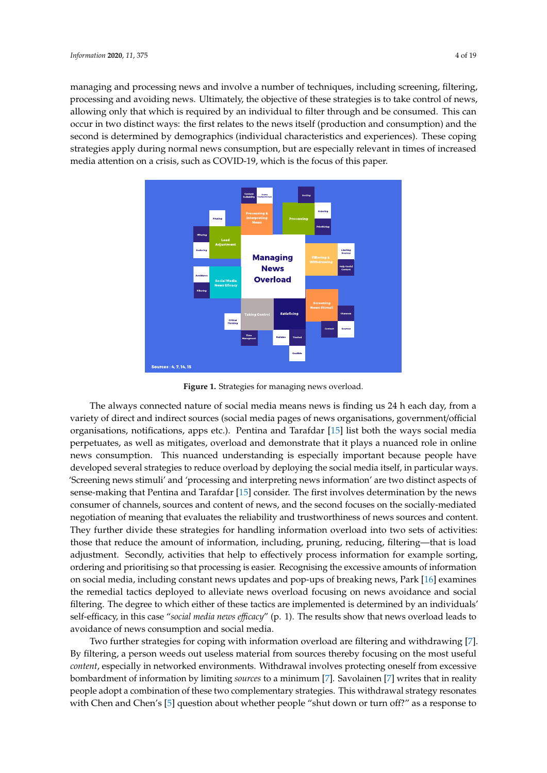managing and processing news and involve a number of techniques, including screening, filtering, processing and avoiding news. Ultimately, the objective of these strategies is to take control of news, allowing only that which is required by an individual to filter through and be consumed. This can occur in two distinct ways: the first relates to the news itself (production and consumption) and the second is determined by demographics (individual characteristics and experiences). These coping strategies apply during normal news consumption, but are especially relevant in times of increased media attention on a crisis, such as COVID-19, which is the focus of this paper. and the second is determined by demographics (individual characteristics and experiences). These

<span id="page-3-0"></span>

**Figure 1.** Strategies for managing news overload. **Figure 1.** Strategies for managing news overload.

The always connected nature of social media means news is finding us 24 h each day, from a variety of direct and indirect sources (social media pages of news organisations, government/official one, notifications, apps etc.). Penting and Tarafdar  $[15]$  list both the ways soc organisations, notifications, apps etc.). Pentina and Tarafdar [\[15\]](#page-17-5) list both the ways social media perpetuates, as well as mitigates, overload and demonstrate that it plays a nuanced role in online news consumption. This nuanced understanding is especially important because people have developed several strategies to reduce overload by deploying the social media itself, in particular ways. aspection that Penters of sense-making that Penting the first information and the determination by the first in 'Screening news stimuli' and 'processing and interpreting news information' are two distinct aspects of sense-making that Pentina and Tarafdar [\[15\]](#page-17-5) consider. The first involves determination by the news consumer of channels, sources and content of news, and the second focuses on the socially-mediated negotiation of meaning that evaluates the reliability and trustworthiness of news sources and content.  $\epsilon$  divide these strategies for bendling information everlood into two sets of They further divide these strategies for handling information overload into two sets of activities: those that reduce the amount of information, including, pruning, reducing, filtering—that is load adjustment. Secondly, activities that help to effectively process information for example sorting, ordering and prioritising so that processing is easier. Recognising the excessive amounts of information individuals' self-efficacy, in this case "*social media news efficacy*" (p. 1). The results show that news on social media, including constant news updates and pop-ups of breaking news, Park [\[16\]](#page-17-6) examines the remedial tactics deployed to alleviate news overload focusing on news avoidance and social filtering. The degree to which either of these tactics are implemented is determined by an individuals' self-efficacy, in this case "*social media news efficacy*" (p. 1). The results show that news overload leads to avoidance of news consumption and social media.

Two further strategies for coping with information overload are filtering and withdrawing [\[7\]](#page-16-6). By filtering, a person weeds out useless material from sources thereby focusing on the most useful *content*, especially in networked environments. Withdrawal involves protecting oneself from excessive bombardment of information by limiting *sources* to a minimum [\[7\]](#page-16-6). Savolainen [\[7\]](#page-16-6) writes that in reality people adopt a combination of these two complementary strategies. This withdrawal strategy resonates with Chen and Chen's [\[5\]](#page-16-4) question about whether people "shut down or turn off?" as a response to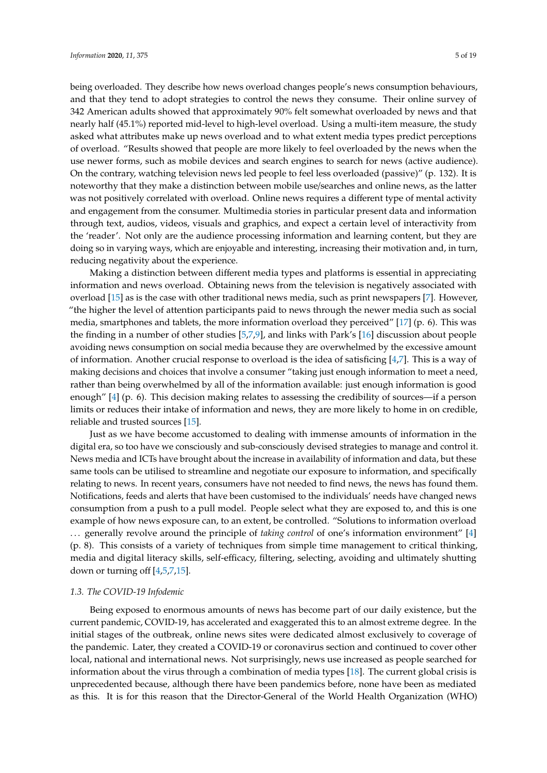being overloaded. They describe how news overload changes people's news consumption behaviours, and that they tend to adopt strategies to control the news they consume. Their online survey of 342 American adults showed that approximately 90% felt somewhat overloaded by news and that nearly half (45.1%) reported mid-level to high-level overload. Using a multi-item measure, the study asked what attributes make up news overload and to what extent media types predict perceptions of overload. "Results showed that people are more likely to feel overloaded by the news when the use newer forms, such as mobile devices and search engines to search for news (active audience). On the contrary, watching television news led people to feel less overloaded (passive)" (p. 132). It is noteworthy that they make a distinction between mobile use/searches and online news, as the latter was not positively correlated with overload. Online news requires a different type of mental activity and engagement from the consumer. Multimedia stories in particular present data and information through text, audios, videos, visuals and graphics, and expect a certain level of interactivity from the 'reader'. Not only are the audience processing information and learning content, but they are doing so in varying ways, which are enjoyable and interesting, increasing their motivation and, in turn, reducing negativity about the experience.

Making a distinction between different media types and platforms is essential in appreciating information and news overload. Obtaining news from the television is negatively associated with overload [\[15\]](#page-17-5) as is the case with other traditional news media, such as print newspapers [\[7\]](#page-16-6). However, "the higher the level of attention participants paid to news through the newer media such as social media, smartphones and tablets, the more information overload they perceived" [\[17\]](#page-17-7) (p. 6). This was the finding in a number of other studies [\[5,](#page-16-4)[7](#page-16-6)[,9\]](#page-16-8), and links with Park's [\[16\]](#page-17-6) discussion about people avoiding news consumption on social media because they are overwhelmed by the excessive amount of information. Another crucial response to overload is the idea of satisficing  $[4,7]$  $[4,7]$ . This is a way of making decisions and choices that involve a consumer "taking just enough information to meet a need, rather than being overwhelmed by all of the information available: just enough information is good enough" [\[4\]](#page-16-3) (p. 6). This decision making relates to assessing the credibility of sources—if a person limits or reduces their intake of information and news, they are more likely to home in on credible, reliable and trusted sources [\[15\]](#page-17-5).

Just as we have become accustomed to dealing with immense amounts of information in the digital era, so too have we consciously and sub-consciously devised strategies to manage and control it. News media and ICTs have brought about the increase in availability of information and data, but these same tools can be utilised to streamline and negotiate our exposure to information, and specifically relating to news. In recent years, consumers have not needed to find news, the news has found them. Notifications, feeds and alerts that have been customised to the individuals' needs have changed news consumption from a push to a pull model. People select what they are exposed to, and this is one example of how news exposure can, to an extent, be controlled. "Solutions to information overload . . . generally revolve around the principle of *taking control* of one's information environment" [\[4\]](#page-16-3) (p. 8). This consists of a variety of techniques from simple time management to critical thinking, media and digital literacy skills, self-efficacy, filtering, selecting, avoiding and ultimately shutting down or turning off [\[4,](#page-16-3)[5](#page-16-4)[,7](#page-16-6)[,15\]](#page-17-5).

#### *1.3. The COVID-19 Infodemic*

Being exposed to enormous amounts of news has become part of our daily existence, but the current pandemic, COVID-19, has accelerated and exaggerated this to an almost extreme degree. In the initial stages of the outbreak, online news sites were dedicated almost exclusively to coverage of the pandemic. Later, they created a COVID-19 or coronavirus section and continued to cover other local, national and international news. Not surprisingly, news use increased as people searched for information about the virus through a combination of media types [\[18\]](#page-17-8). The current global crisis is unprecedented because, although there have been pandemics before, none have been as mediated as this. It is for this reason that the Director-General of the World Health Organization (WHO)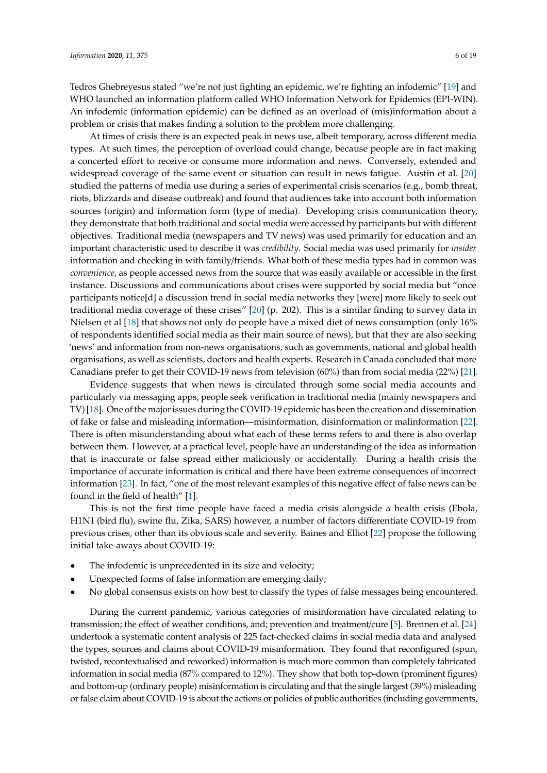Tedros Ghebreyesus stated "we're not just fighting an epidemic, we're fighting an infodemic" [\[19\]](#page-17-9) and WHO launched an information platform called WHO Information Network for Epidemics (EPI-WIN). An infodemic (information epidemic) can be defined as an overload of (mis)information about a problem or crisis that makes finding a solution to the problem more challenging.

At times of crisis there is an expected peak in news use, albeit temporary, across different media types. At such times, the perception of overload could change, because people are in fact making a concerted effort to receive or consume more information and news. Conversely, extended and widespread coverage of the same event or situation can result in news fatigue. Austin et al. [\[20\]](#page-17-10) studied the patterns of media use during a series of experimental crisis scenarios (e.g., bomb threat, riots, blizzards and disease outbreak) and found that audiences take into account both information sources (origin) and information form (type of media). Developing crisis communication theory, they demonstrate that both traditional and social media were accessed by participants but with different objectives. Traditional media (newspapers and TV news) was used primarily for education and an important characteristic used to describe it was *credibility*. Social media was used primarily for *insider* information and checking in with family/friends. What both of these media types had in common was *convenience*, as people accessed news from the source that was easily available or accessible in the first instance. Discussions and communications about crises were supported by social media but "once participants notice[d] a discussion trend in social media networks they [were] more likely to seek out traditional media coverage of these crises" [\[20\]](#page-17-10) (p. 202). This is a similar finding to survey data in Nielsen et al [\[18\]](#page-17-8) that shows not only do people have a mixed diet of news consumption (only 16% of respondents identified social media as their main source of news), but that they are also seeking 'news' and information from non-news organisations, such as governments, national and global health organisations, as well as scientists, doctors and health experts. Research in Canada concluded that more Canadians prefer to get their COVID-19 news from television (60%) than from social media (22%) [\[21\]](#page-17-11).

Evidence suggests that when news is circulated through some social media accounts and particularly via messaging apps, people seek verification in traditional media (mainly newspapers and TV) [\[18\]](#page-17-8). One of the major issues during the COVID-19 epidemic has been the creation and dissemination of fake or false and misleading information—misinformation, disinformation or malinformation [\[22\]](#page-17-12). There is often misunderstanding about what each of these terms refers to and there is also overlap between them. However, at a practical level, people have an understanding of the idea as information that is inaccurate or false spread either maliciously or accidentally. During a health crisis the importance of accurate information is critical and there have been extreme consequences of incorrect information [\[23\]](#page-17-13). In fact, "one of the most relevant examples of this negative effect of false news can be found in the field of health" [\[1\]](#page-16-0).

This is not the first time people have faced a media crisis alongside a health crisis (Ebola, H1N1 (bird flu), swine flu, Zika, SARS) however, a number of factors differentiate COVID-19 from previous crises, other than its obvious scale and severity. Baines and Elliot [\[22\]](#page-17-12) propose the following initial take-aways about COVID-19:

- The infodemic is unprecedented in its size and velocity;
- Unexpected forms of false information are emerging daily;
- No global consensus exists on how best to classify the types of false messages being encountered.

During the current pandemic, various categories of misinformation have circulated relating to transmission; the effect of weather conditions, and; prevention and treatment/cure [\[5\]](#page-16-4). Brennen et al. [\[24\]](#page-17-14) undertook a systematic content analysis of 225 fact-checked claims in social media data and analysed the types, sources and claims about COVID-19 misinformation. They found that reconfigured (spun, twisted, recontextualised and reworked) information is much more common than completely fabricated information in social media (87% compared to 12%). They show that both top-down (prominent figures) and bottom-up (ordinary people) misinformation is circulating and that the single largest (39%) misleading or false claim about COVID-19 is about the actions or policies of public authorities (including governments,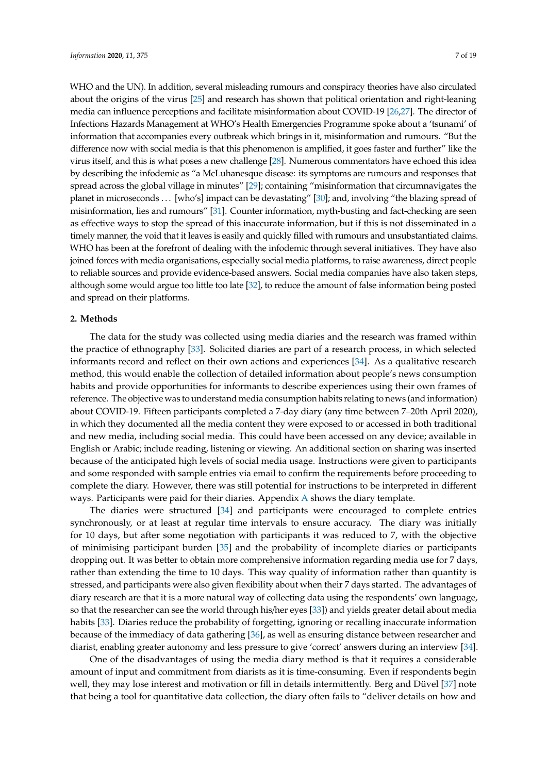WHO and the UN). In addition, several misleading rumours and conspiracy theories have also circulated about the origins of the virus [\[25\]](#page-17-15) and research has shown that political orientation and right-leaning media can influence perceptions and facilitate misinformation about COVID-19 [\[26](#page-17-16)[,27\]](#page-17-17). The director of Infections Hazards Management at WHO's Health Emergencies Programme spoke about a 'tsunami' of information that accompanies every outbreak which brings in it, misinformation and rumours. "But the difference now with social media is that this phenomenon is amplified, it goes faster and further" like the virus itself, and this is what poses a new challenge [\[28\]](#page-17-18). Numerous commentators have echoed this idea by describing the infodemic as "a McLuhanesque disease: its symptoms are rumours and responses that spread across the global village in minutes" [\[29\]](#page-17-19); containing "misinformation that circumnavigates the planet in microseconds . . . [who's] impact can be devastating" [\[30\]](#page-17-20); and, involving "the blazing spread of misinformation, lies and rumours" [\[31\]](#page-17-21). Counter information, myth-busting and fact-checking are seen as effective ways to stop the spread of this inaccurate information, but if this is not disseminated in a timely manner, the void that it leaves is easily and quickly filled with rumours and unsubstantiated claims. WHO has been at the forefront of dealing with the infodemic through several initiatives. They have also joined forces with media organisations, especially social media platforms, to raise awareness, direct people to reliable sources and provide evidence-based answers. Social media companies have also taken steps, although some would argue too little too late [\[32\]](#page-17-22), to reduce the amount of false information being posted and spread on their platforms.

#### **2. Methods**

The data for the study was collected using media diaries and the research was framed within the practice of ethnography [\[33\]](#page-18-0). Solicited diaries are part of a research process, in which selected informants record and reflect on their own actions and experiences [\[34\]](#page-18-1). As a qualitative research method, this would enable the collection of detailed information about people's news consumption habits and provide opportunities for informants to describe experiences using their own frames of reference. The objective was to understand media consumption habits relating to news (and information) about COVID-19. Fifteen participants completed a 7-day diary (any time between 7–20th April 2020), in which they documented all the media content they were exposed to or accessed in both traditional and new media, including social media. This could have been accessed on any device; available in English or Arabic; include reading, listening or viewing. An additional section on sharing was inserted because of the anticipated high levels of social media usage. Instructions were given to participants and some responded with sample entries via email to confirm the requirements before proceeding to complete the diary. However, there was still potential for instructions to be interpreted in different ways. Participants were paid for their diaries. Appendix [A](#page-15-0) shows the diary template.

The diaries were structured [\[34\]](#page-18-1) and participants were encouraged to complete entries synchronously, or at least at regular time intervals to ensure accuracy. The diary was initially for 10 days, but after some negotiation with participants it was reduced to 7, with the objective of minimising participant burden [\[35\]](#page-18-2) and the probability of incomplete diaries or participants dropping out. It was better to obtain more comprehensive information regarding media use for 7 days, rather than extending the time to 10 days. This way quality of information rather than quantity is stressed, and participants were also given flexibility about when their 7 days started. The advantages of diary research are that it is a more natural way of collecting data using the respondents' own language, so that the researcher can see the world through his/her eyes [\[33\]](#page-18-0)) and yields greater detail about media habits [\[33\]](#page-18-0). Diaries reduce the probability of forgetting, ignoring or recalling inaccurate information because of the immediacy of data gathering [\[36\]](#page-18-3), as well as ensuring distance between researcher and diarist, enabling greater autonomy and less pressure to give 'correct' answers during an interview [\[34\]](#page-18-1).

One of the disadvantages of using the media diary method is that it requires a considerable amount of input and commitment from diarists as it is time-consuming. Even if respondents begin well, they may lose interest and motivation or fill in details intermittently. Berg and Düvel [\[37\]](#page-18-4) note that being a tool for quantitative data collection, the diary often fails to "deliver details on how and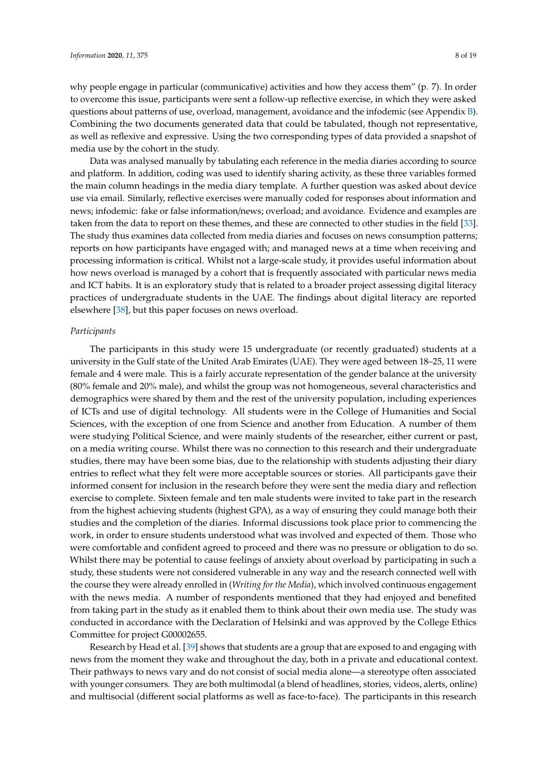why people engage in particular (communicative) activities and how they access them" (p. 7). In order to overcome this issue, participants were sent a follow-up reflective exercise, in which they were asked questions about patterns of use, overload, management, avoidance and the infodemic (see Appendix [B\)](#page-16-9). Combining the two documents generated data that could be tabulated, though not representative, as well as reflexive and expressive. Using the two corresponding types of data provided a snapshot of media use by the cohort in the study.

Data was analysed manually by tabulating each reference in the media diaries according to source and platform. In addition, coding was used to identify sharing activity, as these three variables formed the main column headings in the media diary template. A further question was asked about device use via email. Similarly, reflective exercises were manually coded for responses about information and news; infodemic: fake or false information/news; overload; and avoidance. Evidence and examples are taken from the data to report on these themes, and these are connected to other studies in the field [\[33\]](#page-18-0). The study thus examines data collected from media diaries and focuses on news consumption patterns; reports on how participants have engaged with; and managed news at a time when receiving and processing information is critical. Whilst not a large-scale study, it provides useful information about how news overload is managed by a cohort that is frequently associated with particular news media and ICT habits. It is an exploratory study that is related to a broader project assessing digital literacy practices of undergraduate students in the UAE. The findings about digital literacy are reported elsewhere [\[38\]](#page-18-5), but this paper focuses on news overload.

#### *Participants*

The participants in this study were 15 undergraduate (or recently graduated) students at a university in the Gulf state of the United Arab Emirates (UAE). They were aged between 18–25, 11 were female and 4 were male. This is a fairly accurate representation of the gender balance at the university (80% female and 20% male), and whilst the group was not homogeneous, several characteristics and demographics were shared by them and the rest of the university population, including experiences of ICTs and use of digital technology. All students were in the College of Humanities and Social Sciences, with the exception of one from Science and another from Education. A number of them were studying Political Science, and were mainly students of the researcher, either current or past, on a media writing course. Whilst there was no connection to this research and their undergraduate studies, there may have been some bias, due to the relationship with students adjusting their diary entries to reflect what they felt were more acceptable sources or stories. All participants gave their informed consent for inclusion in the research before they were sent the media diary and reflection exercise to complete. Sixteen female and ten male students were invited to take part in the research from the highest achieving students (highest GPA), as a way of ensuring they could manage both their studies and the completion of the diaries. Informal discussions took place prior to commencing the work, in order to ensure students understood what was involved and expected of them. Those who were comfortable and confident agreed to proceed and there was no pressure or obligation to do so. Whilst there may be potential to cause feelings of anxiety about overload by participating in such a study, these students were not considered vulnerable in any way and the research connected well with the course they were already enrolled in (*Writing for the Media*), which involved continuous engagement with the news media. A number of respondents mentioned that they had enjoyed and benefited from taking part in the study as it enabled them to think about their own media use. The study was conducted in accordance with the Declaration of Helsinki and was approved by the College Ethics Committee for project G00002655.

Research by Head et al. [\[39\]](#page-18-6) shows that students are a group that are exposed to and engaging with news from the moment they wake and throughout the day, both in a private and educational context. Their pathways to news vary and do not consist of social media alone—a stereotype often associated with younger consumers. They are both multimodal (a blend of headlines, stories, videos, alerts, online) and multisocial (different social platforms as well as face-to-face). The participants in this research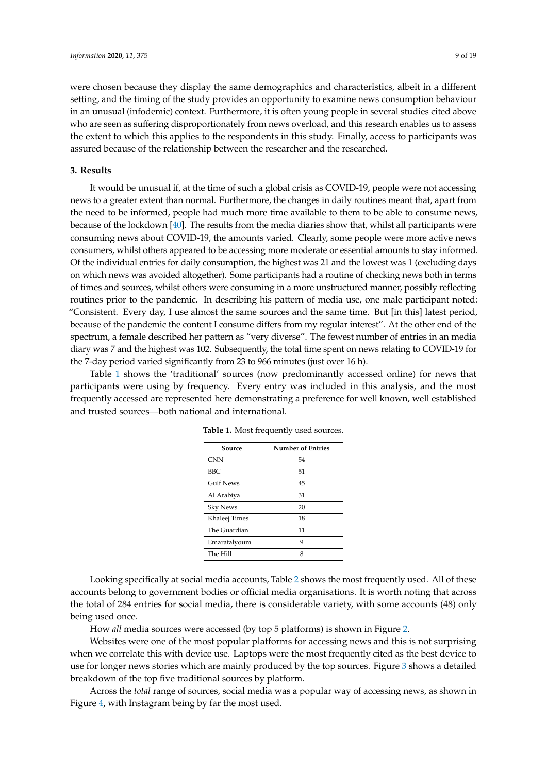were chosen because they display the same demographics and characteristics, albeit in a different setting, and the timing of the study provides an opportunity to examine news consumption behaviour in an unusual (infodemic) context. Furthermore, it is often young people in several studies cited above who are seen as suffering disproportionately from news overload, and this research enables us to assess the extent to which this applies to the respondents in this study. Finally, access to participants was assured because of the relationship between the researcher and the researched.

## **3. Results**

It would be unusual if, at the time of such a global crisis as COVID-19, people were not accessing news to a greater extent than normal. Furthermore, the changes in daily routines meant that, apart from the need to be informed, people had much more time available to them to be able to consume news, because of the lockdown [\[40\]](#page-18-7). The results from the media diaries show that, whilst all participants were consuming news about COVID-19, the amounts varied. Clearly, some people were more active news consumers, whilst others appeared to be accessing more moderate or essential amounts to stay informed. Of the individual entries for daily consumption, the highest was 21 and the lowest was 1 (excluding days on which news was avoided altogether). Some participants had a routine of checking news both in terms of times and sources, whilst others were consuming in a more unstructured manner, possibly reflecting routines prior to the pandemic. In describing his pattern of media use, one male participant noted: "Consistent. Every day, I use almost the same sources and the same time. But [in this] latest period, because of the pandemic the content I consume differs from my regular interest". At the other end of the spectrum, a female described her pattern as "very diverse". The fewest number of entries in an media diary was 7 and the highest was 102. Subsequently, the total time spent on news relating to COVID-19 for the 7-day period varied significantly from 23 to 966 minutes (just over 16 h).

<span id="page-8-0"></span>Table [1](#page-8-0) shows the 'traditional' sources (now predominantly accessed online) for news that participants were using by frequency. Every entry was included in this analysis, and the most frequently accessed are represented here demonstrating a preference for well known, well established and trusted sources—both national and international.

| Source           | <b>Number of Entries</b> |
|------------------|--------------------------|
| <b>CNN</b>       | 54                       |
| BBC.             | 51                       |
| <b>Gulf News</b> | 45                       |
| Al Arabiya       | 31                       |
| <b>Sky News</b>  | 20                       |
| Khaleej Times    | 18                       |
| The Guardian     | 11                       |
| Emaratalyoum     | 9                        |
| The Hill         | 8                        |

**Table 1.** Most frequently used sources.

Looking specifically at social media accounts, Table [2](#page-9-0) shows the most frequently used. All of these accounts belong to government bodies or official media organisations. It is worth noting that across the total of 284 entries for social media, there is considerable variety, with some accounts (48) only being used once.

How *all* media sources were accessed (by top 5 platforms) is shown in Figure [2.](#page-9-1)

Websites were one of the most popular platforms for accessing news and this is not surprising when we correlate this with device use. Laptops were the most frequently cited as the best device to use for longer news stories which are mainly produced by the top sources. Figure [3](#page-9-2) shows a detailed breakdown of the top five traditional sources by platform.

Across the *total* range of sources, social media was a popular way of accessing news, as shown in Figure [4,](#page-9-3) with Instagram being by far the most used.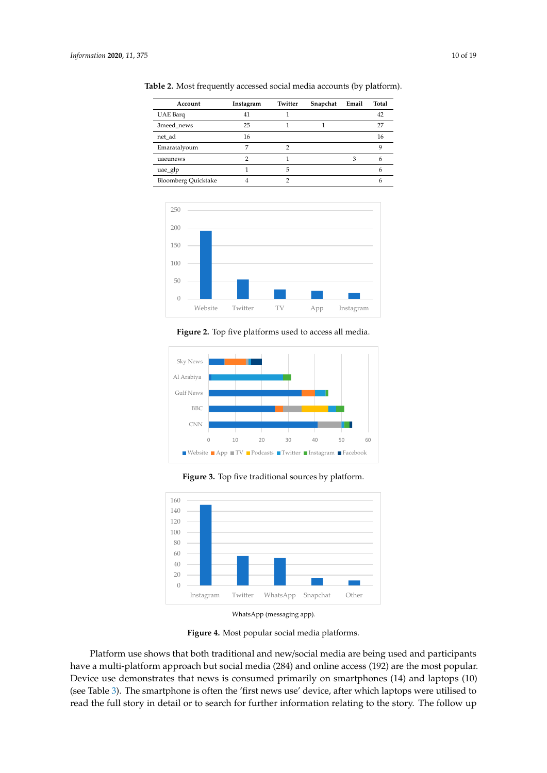<span id="page-9-0"></span>

| Account                    | Instagram | Twitter | Snapchat | Email | Total |
|----------------------------|-----------|---------|----------|-------|-------|
| UAE Barq                   | 41        |         |          |       | 42    |
| 3meed news                 | 25        |         |          |       | 27    |
| net_ad                     | 16        |         |          |       | 16    |
| Emaratalyoum               | 7         |         |          |       |       |
| uaeunews                   |           |         |          | 3     |       |
| uae_glp                    |           | 5       |          |       |       |
| <b>Bloomberg Quicktake</b> | 4         |         |          |       | n     |

Table 2. Most frequently accessed social media accounts (by platform).

<span id="page-9-1"></span>

Figure 2. Top five platforms used to access all media. Figure 2. Top five platforms used to access an inequal

<span id="page-9-2"></span>

n de la propincia de la propincia de la propincia de la propincia de la propincia de la propincia de la propincia de la propincia de la propincia de la propincia de la propincia de la propincia de la propincia de la propin Figure 3. Top five traditional sources by platform.

<span id="page-9-3"></span>

WhatsApp (messaging app).

**Figure 4.** Most popular social media platforms.

Platform use shows that both traditional and new/social media are being used and participants Platform use shows that both traditional and new/social media are being used and participants  $h_{\rm B}$  a latterm approach but social media (284) and online access (192) are the most have a multi-platform approach but social media (284) and online access (192) are the most popular. Device use demonstrates that news is consumed primarily on smartphones (14) and laptops (10) (see Table [3\)](#page-10-0). The smartphone is often the 'first news use' device, after which laptops were utilised to read the full story in detail or to search for further information relating to the story. The follow up  $\mathcal{L}$  about . Alertis and notifications compose a fair proportion of this first contact for news and use and use and use and use  $\mathcal{L}$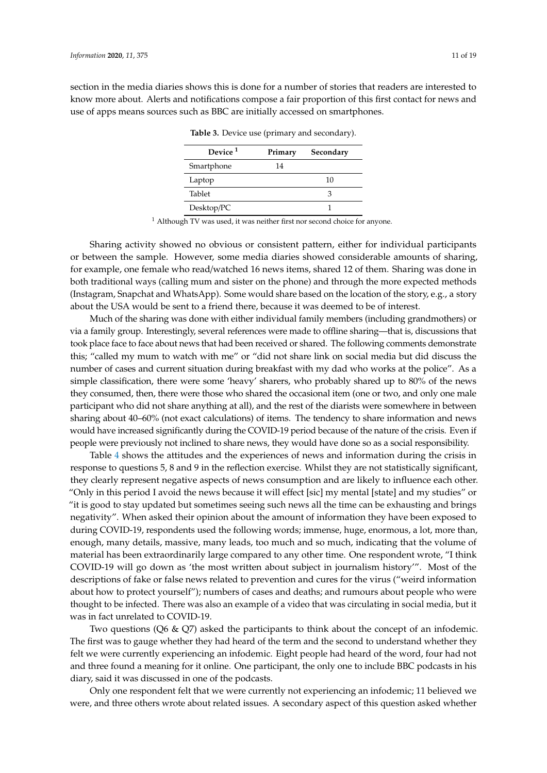<span id="page-10-0"></span>section in the media diaries shows this is done for a number of stories that readers are interested to know more about. Alerts and notifications compose a fair proportion of this first contact for news and use of apps means sources such as BBC are initially accessed on smartphones.

| Device <sup>1</sup> | Primary | Secondary |
|---------------------|---------|-----------|
| Smartphone          | 14      |           |
| Laptop              |         | 10        |
| Tablet              |         |           |
| Desktop/PC          |         |           |

**Table 3.** Device use (primary and secondary).

 $1$  Although TV was used, it was neither first nor second choice for anyone.

Sharing activity showed no obvious or consistent pattern, either for individual participants or between the sample. However, some media diaries showed considerable amounts of sharing, for example, one female who read/watched 16 news items, shared 12 of them. Sharing was done in both traditional ways (calling mum and sister on the phone) and through the more expected methods (Instagram, Snapchat and WhatsApp). Some would share based on the location of the story, e.g., a story about the USA would be sent to a friend there, because it was deemed to be of interest.

Much of the sharing was done with either individual family members (including grandmothers) or via a family group. Interestingly, several references were made to offline sharing—that is, discussions that took place face to face about news that had been received or shared. The following comments demonstrate this; "called my mum to watch with me" or "did not share link on social media but did discuss the number of cases and current situation during breakfast with my dad who works at the police". As a simple classification, there were some 'heavy' sharers, who probably shared up to 80% of the news they consumed, then, there were those who shared the occasional item (one or two, and only one male participant who did not share anything at all), and the rest of the diarists were somewhere in between sharing about 40–60% (not exact calculations) of items. The tendency to share information and news would have increased significantly during the COVID-19 period because of the nature of the crisis. Even if people were previously not inclined to share news, they would have done so as a social responsibility.

Table [4](#page-11-0) shows the attitudes and the experiences of news and information during the crisis in response to questions 5, 8 and 9 in the reflection exercise. Whilst they are not statistically significant, they clearly represent negative aspects of news consumption and are likely to influence each other. "Only in this period I avoid the news because it will effect [sic] my mental [state] and my studies" or "it is good to stay updated but sometimes seeing such news all the time can be exhausting and brings negativity". When asked their opinion about the amount of information they have been exposed to during COVID-19, respondents used the following words; immense, huge, enormous, a lot, more than, enough, many details, massive, many leads, too much and so much, indicating that the volume of material has been extraordinarily large compared to any other time. One respondent wrote, "I think COVID-19 will go down as 'the most written about subject in journalism history'". Most of the descriptions of fake or false news related to prevention and cures for the virus ("weird information about how to protect yourself"); numbers of cases and deaths; and rumours about people who were thought to be infected. There was also an example of a video that was circulating in social media, but it was in fact unrelated to COVID-19.

Two questions (Q6 & Q7) asked the participants to think about the concept of an infodemic. The first was to gauge whether they had heard of the term and the second to understand whether they felt we were currently experiencing an infodemic. Eight people had heard of the word, four had not and three found a meaning for it online. One participant, the only one to include BBC podcasts in his diary, said it was discussed in one of the podcasts.

Only one respondent felt that we were currently not experiencing an infodemic; 11 believed we were, and three others wrote about related issues. A secondary aspect of this question asked whether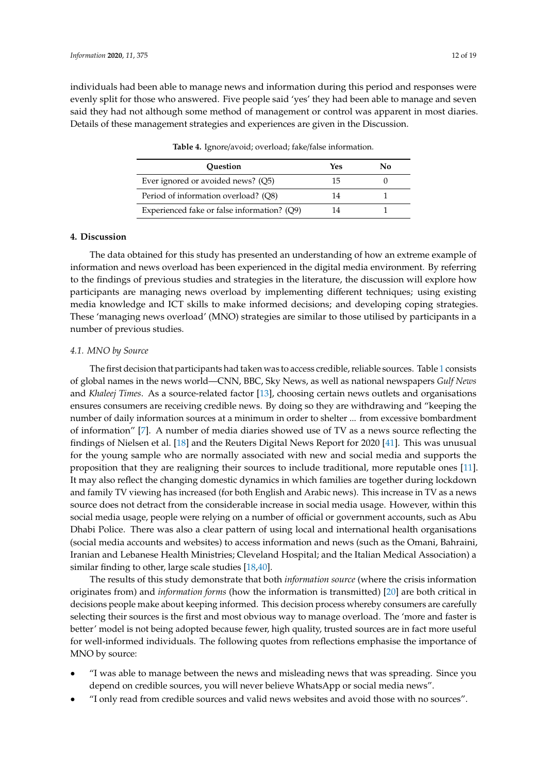<span id="page-11-0"></span>individuals had been able to manage news and information during this period and responses were evenly split for those who answered. Five people said 'yes' they had been able to manage and seven said they had not although some method of management or control was apparent in most diaries. Details of these management strategies and experiences are given in the Discussion.

| <b>Ouestion</b>                             | Yes | N٥ |
|---------------------------------------------|-----|----|
| Ever ignored or avoided news? (Q5)          | 15  |    |
| Period of information overload? (Q8)        |     |    |
| Experienced fake or false information? (Q9) | 14  |    |

**Table 4.** Ignore/avoid; overload; fake/false information.

## **4. Discussion**

The data obtained for this study has presented an understanding of how an extreme example of information and news overload has been experienced in the digital media environment. By referring to the findings of previous studies and strategies in the literature, the discussion will explore how participants are managing news overload by implementing different techniques; using existing media knowledge and ICT skills to make informed decisions; and developing coping strategies. These 'managing news overload' (MNO) strategies are similar to those utilised by participants in a number of previous studies.

## *4.1. MNO by Source*

The first decision that participants had taken was to access credible, reliable sources. Table [1](#page-8-0) consists of global names in the news world—CNN, BBC, Sky News, as well as national newspapers *Gulf News* and *Khaleej Times*. As a source-related factor [\[13\]](#page-17-3), choosing certain news outlets and organisations ensures consumers are receiving credible news. By doing so they are withdrawing and "keeping the number of daily information sources at a minimum in order to shelter ... from excessive bombardment of information" [\[7\]](#page-16-6). A number of media diaries showed use of TV as a news source reflecting the findings of Nielsen et al. [\[18\]](#page-17-8) and the Reuters Digital News Report for 2020 [\[41\]](#page-18-8). This was unusual for the young sample who are normally associated with new and social media and supports the proposition that they are realigning their sources to include traditional, more reputable ones [\[11\]](#page-17-1). It may also reflect the changing domestic dynamics in which families are together during lockdown and family TV viewing has increased (for both English and Arabic news). This increase in TV as a news source does not detract from the considerable increase in social media usage. However, within this social media usage, people were relying on a number of official or government accounts, such as Abu Dhabi Police. There was also a clear pattern of using local and international health organisations (social media accounts and websites) to access information and news (such as the Omani, Bahraini, Iranian and Lebanese Health Ministries; Cleveland Hospital; and the Italian Medical Association) a similar finding to other, large scale studies [\[18](#page-17-8)[,40\]](#page-18-7).

The results of this study demonstrate that both *information source* (where the crisis information originates from) and *information forms* (how the information is transmitted) [\[20\]](#page-17-10) are both critical in decisions people make about keeping informed. This decision process whereby consumers are carefully selecting their sources is the first and most obvious way to manage overload. The 'more and faster is better' model is not being adopted because fewer, high quality, trusted sources are in fact more useful for well-informed individuals. The following quotes from reflections emphasise the importance of MNO by source:

- "I was able to manage between the news and misleading news that was spreading. Since you depend on credible sources, you will never believe WhatsApp or social media news".
- "I only read from credible sources and valid news websites and avoid those with no sources".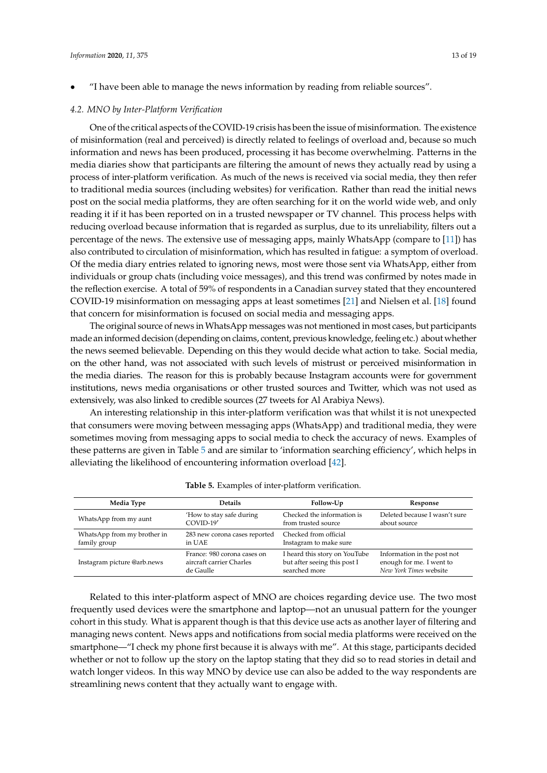• "I have been able to manage the news information by reading from reliable sources".

#### *4.2. MNO by Inter-Platform Verification*

One of the critical aspects of the COVID-19 crisis has been the issue of misinformation. The existence of misinformation (real and perceived) is directly related to feelings of overload and, because so much information and news has been produced, processing it has become overwhelming. Patterns in the media diaries show that participants are filtering the amount of news they actually read by using a process of inter-platform verification. As much of the news is received via social media, they then refer to traditional media sources (including websites) for verification. Rather than read the initial news post on the social media platforms, they are often searching for it on the world wide web, and only reading it if it has been reported on in a trusted newspaper or TV channel. This process helps with reducing overload because information that is regarded as surplus, due to its unreliability, filters out a percentage of the news. The extensive use of messaging apps, mainly WhatsApp (compare to [\[11\]](#page-17-1)) has also contributed to circulation of misinformation, which has resulted in fatigue: a symptom of overload. Of the media diary entries related to ignoring news, most were those sent via WhatsApp, either from individuals or group chats (including voice messages), and this trend was confirmed by notes made in the reflection exercise. A total of 59% of respondents in a Canadian survey stated that they encountered COVID-19 misinformation on messaging apps at least sometimes [\[21\]](#page-17-11) and Nielsen et al. [\[18\]](#page-17-8) found that concern for misinformation is focused on social media and messaging apps.

The original source of news in WhatsApp messages was not mentioned in most cases, but participants made an informed decision (depending on claims, content, previous knowledge, feeling etc.) about whether the news seemed believable. Depending on this they would decide what action to take. Social media, on the other hand, was not associated with such levels of mistrust or perceived misinformation in the media diaries. The reason for this is probably because Instagram accounts were for government institutions, news media organisations or other trusted sources and Twitter, which was not used as extensively, was also linked to credible sources (27 tweets for Al Arabiya News).

An interesting relationship in this inter-platform verification was that whilst it is not unexpected that consumers were moving between messaging apps (WhatsApp) and traditional media, they were sometimes moving from messaging apps to social media to check the accuracy of news. Examples of these patterns are given in Table [5](#page-12-0) and are similar to 'information searching efficiency', which helps in alleviating the likelihood of encountering information overload [\[42\]](#page-18-9).

<span id="page-12-0"></span>

| Media Type                  | <b>Details</b>                | Follow-Up                     | Response                      |
|-----------------------------|-------------------------------|-------------------------------|-------------------------------|
| WhatsApp from my aunt       | 'How to stay safe during      | Checked the information is    | Deleted because I wasn't sure |
|                             | COVID-19'                     | from trusted source           | about source                  |
| WhatsApp from my brother in | 283 new corona cases reported | Checked from official         |                               |
| family group                | in UAE                        | Instagram to make sure        |                               |
| Instagram picture @arb.news | France: 980 corona cases on   | I heard this story on YouTube | Information in the post not   |
|                             | aircraft carrier Charles      | but after seeing this post I  | enough for me. I went to      |
|                             | de Gaulle                     | searched more                 | New York Times website        |

**Table 5.** Examples of inter-platform verification.

Related to this inter-platform aspect of MNO are choices regarding device use. The two most frequently used devices were the smartphone and laptop—not an unusual pattern for the younger cohort in this study. What is apparent though is that this device use acts as another layer of filtering and managing news content. News apps and notifications from social media platforms were received on the smartphone—"I check my phone first because it is always with me". At this stage, participants decided whether or not to follow up the story on the laptop stating that they did so to read stories in detail and watch longer videos. In this way MNO by device use can also be added to the way respondents are streamlining news content that they actually want to engage with.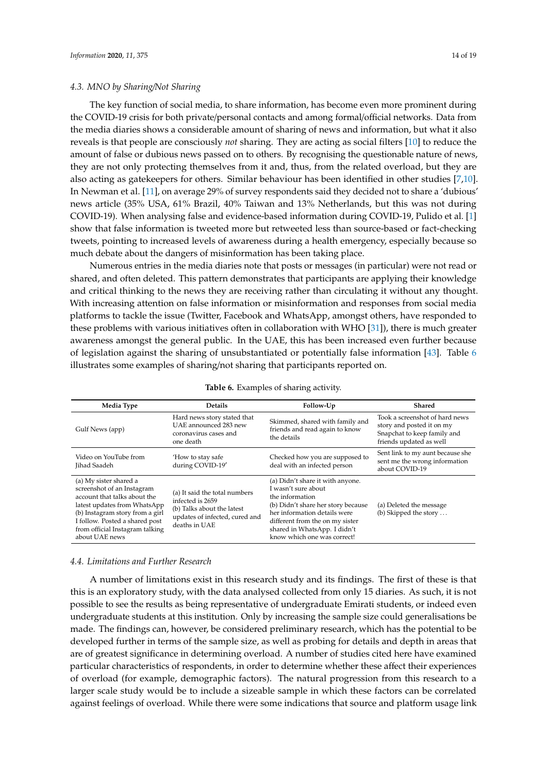The key function of social media, to share information, has become even more prominent during the COVID-19 crisis for both private/personal contacts and among formal/official networks. Data from the media diaries shows a considerable amount of sharing of news and information, but what it also reveals is that people are consciously *not* sharing. They are acting as social filters [\[10\]](#page-17-0) to reduce the amount of false or dubious news passed on to others. By recognising the questionable nature of news, they are not only protecting themselves from it and, thus, from the related overload, but they are also acting as gatekeepers for others. Similar behaviour has been identified in other studies [\[7,](#page-16-6)[10\]](#page-17-0). In Newman et al. [\[11\]](#page-17-1), on average 29% of survey respondents said they decided not to share a 'dubious' news article (35% USA, 61% Brazil, 40% Taiwan and 13% Netherlands, but this was not during COVID-19). When analysing false and evidence-based information during COVID-19, Pulido et al. [\[1\]](#page-16-0) show that false information is tweeted more but retweeted less than source-based or fact-checking tweets, pointing to increased levels of awareness during a health emergency, especially because so much debate about the dangers of misinformation has been taking place.

Numerous entries in the media diaries note that posts or messages (in particular) were not read or shared, and often deleted. This pattern demonstrates that participants are applying their knowledge and critical thinking to the news they are receiving rather than circulating it without any thought. With increasing attention on false information or misinformation and responses from social media platforms to tackle the issue (Twitter, Facebook and WhatsApp, amongst others, have responded to these problems with various initiatives often in collaboration with WHO [\[31\]](#page-17-21)), there is much greater awareness amongst the general public. In the UAE, this has been increased even further because of legislation against the sharing of unsubstantiated or potentially false information [\[43\]](#page-18-10). Table [6](#page-13-0) illustrates some examples of sharing/not sharing that participants reported on.

<span id="page-13-0"></span>

| Media Type                                                                                                                                                                                                                                     | <b>Details</b>                                                                                                                     | Follow-Up                                                                                                                                                                                                                                          | Shared                                                                                                                |
|------------------------------------------------------------------------------------------------------------------------------------------------------------------------------------------------------------------------------------------------|------------------------------------------------------------------------------------------------------------------------------------|----------------------------------------------------------------------------------------------------------------------------------------------------------------------------------------------------------------------------------------------------|-----------------------------------------------------------------------------------------------------------------------|
| Gulf News (app)                                                                                                                                                                                                                                | Hard news story stated that<br>UAE announced 283 new<br>coronavirus cases and<br>one death                                         | Skimmed, shared with family and<br>friends and read again to know<br>the details                                                                                                                                                                   | Took a screenshot of hard news<br>story and posted it on my<br>Snapchat to keep family and<br>friends updated as well |
| Video on YouTube from<br>Jihad Saadeh                                                                                                                                                                                                          | 'How to stay safe<br>during COVID-19'                                                                                              | Checked how you are supposed to<br>deal with an infected person                                                                                                                                                                                    | Sent link to my aunt because she<br>sent me the wrong information<br>about COVID-19                                   |
| (a) My sister shared a<br>screenshot of an Instagram<br>account that talks about the<br>latest updates from WhatsApp<br>(b) Instagram story from a girl<br>I follow. Posted a shared post<br>from official Instagram talking<br>about UAE news | (a) It said the total numbers<br>infected is 2659<br>(b) Talks about the latest<br>updates of infected, cured and<br>deaths in UAE | (a) Didn't share it with anyone.<br>I wasn't sure about<br>the information<br>(b) Didn't share her story because<br>her information details were<br>different from the on my sister<br>shared in WhatsApp. I didn't<br>know which one was correct! | (a) Deleted the message<br>(b) Skipped the story $\dots$                                                              |

#### **Table 6.** Examples of sharing activity.

#### *4.4. Limitations and Further Research*

A number of limitations exist in this research study and its findings. The first of these is that this is an exploratory study, with the data analysed collected from only 15 diaries. As such, it is not possible to see the results as being representative of undergraduate Emirati students, or indeed even undergraduate students at this institution. Only by increasing the sample size could generalisations be made. The findings can, however, be considered preliminary research, which has the potential to be developed further in terms of the sample size, as well as probing for details and depth in areas that are of greatest significance in determining overload. A number of studies cited here have examined particular characteristics of respondents, in order to determine whether these affect their experiences of overload (for example, demographic factors). The natural progression from this research to a larger scale study would be to include a sizeable sample in which these factors can be correlated against feelings of overload. While there were some indications that source and platform usage link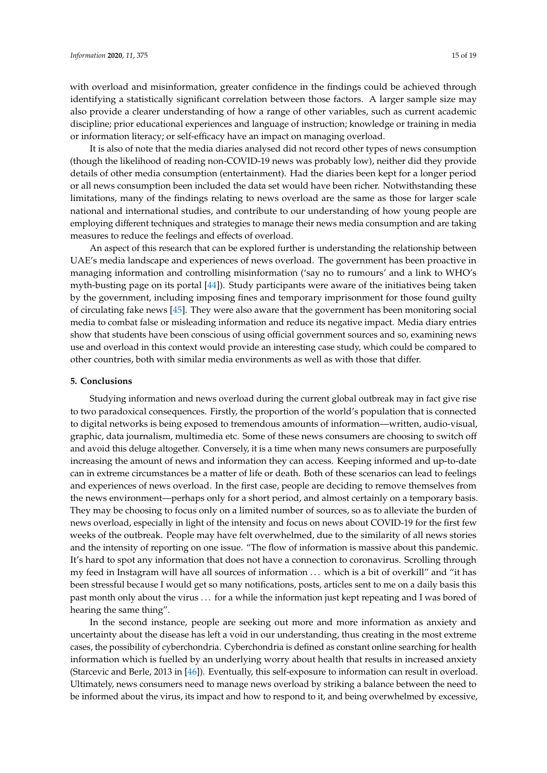with overload and misinformation, greater confidence in the findings could be achieved through identifying a statistically significant correlation between those factors. A larger sample size may also provide a clearer understanding of how a range of other variables, such as current academic discipline; prior educational experiences and language of instruction; knowledge or training in media or information literacy; or self-efficacy have an impact on managing overload.

It is also of note that the media diaries analysed did not record other types of news consumption (though the likelihood of reading non-COVID-19 news was probably low), neither did they provide details of other media consumption (entertainment). Had the diaries been kept for a longer period or all news consumption been included the data set would have been richer. Notwithstanding these limitations, many of the findings relating to news overload are the same as those for larger scale national and international studies, and contribute to our understanding of how young people are employing different techniques and strategies to manage their news media consumption and are taking measures to reduce the feelings and effects of overload.

An aspect of this research that can be explored further is understanding the relationship between UAE's media landscape and experiences of news overload. The government has been proactive in managing information and controlling misinformation ('say no to rumours' and a link to WHO's myth-busting page on its portal [\[44\]](#page-18-11)). Study participants were aware of the initiatives being taken by the government, including imposing fines and temporary imprisonment for those found guilty of circulating fake news [\[45\]](#page-18-12). They were also aware that the government has been monitoring social media to combat false or misleading information and reduce its negative impact. Media diary entries show that students have been conscious of using official government sources and so, examining news use and overload in this context would provide an interesting case study, which could be compared to other countries, both with similar media environments as well as with those that differ.

## **5. Conclusions**

Studying information and news overload during the current global outbreak may in fact give rise to two paradoxical consequences. Firstly, the proportion of the world's population that is connected to digital networks is being exposed to tremendous amounts of information—written, audio-visual, graphic, data journalism, multimedia etc. Some of these news consumers are choosing to switch off and avoid this deluge altogether. Conversely, it is a time when many news consumers are purposefully increasing the amount of news and information they can access. Keeping informed and up-to-date can in extreme circumstances be a matter of life or death. Both of these scenarios can lead to feelings and experiences of news overload. In the first case, people are deciding to remove themselves from the news environment—perhaps only for a short period, and almost certainly on a temporary basis. They may be choosing to focus only on a limited number of sources, so as to alleviate the burden of news overload, especially in light of the intensity and focus on news about COVID-19 for the first few weeks of the outbreak. People may have felt overwhelmed, due to the similarity of all news stories and the intensity of reporting on one issue. "The flow of information is massive about this pandemic. It's hard to spot any information that does not have a connection to coronavirus. Scrolling through my feed in Instagram will have all sources of information . . . which is a bit of overkill" and "it has been stressful because I would get so many notifications, posts, articles sent to me on a daily basis this past month only about the virus . . . for a while the information just kept repeating and I was bored of hearing the same thing".

In the second instance, people are seeking out more and more information as anxiety and uncertainty about the disease has left a void in our understanding, thus creating in the most extreme cases, the possibility of cyberchondria. Cyberchondria is defined as constant online searching for health information which is fuelled by an underlying worry about health that results in increased anxiety (Starcevic and Berle, 2013 in [\[46\]](#page-18-13)). Eventually, this self-exposure to information can result in overload. Ultimately, news consumers need to manage news overload by striking a balance between the need to be informed about the virus, its impact and how to respond to it, and being overwhelmed by excessive,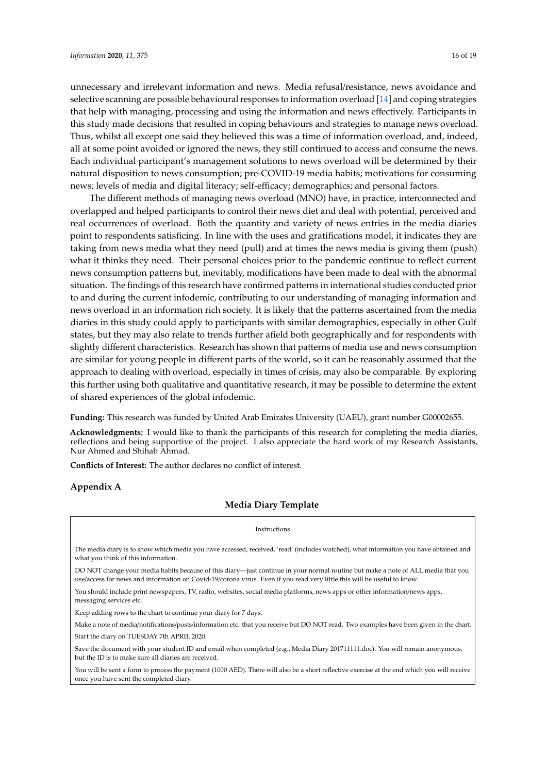unnecessary and irrelevant information and news. Media refusal/resistance, news avoidance and selective scanning are possible behavioural responses to information overload [\[14\]](#page-17-4) and coping strategies that help with managing, processing and using the information and news effectively. Participants in this study made decisions that resulted in coping behaviours and strategies to manage news overload. Thus, whilst all except one said they believed this was a time of information overload, and, indeed, all at some point avoided or ignored the news, they still continued to access and consume the news. Each individual participant's management solutions to news overload will be determined by their natural disposition to news consumption; pre-COVID-19 media habits; motivations for consuming news; levels of media and digital literacy; self-efficacy; demographics; and personal factors.

The different methods of managing news overload (MNO) have, in practice, interconnected and overlapped and helped participants to control their news diet and deal with potential, perceived and real occurrences of overload. Both the quantity and variety of news entries in the media diaries point to respondents satisficing. In line with the uses and gratifications model, it indicates they are taking from news media what they need (pull) and at times the news media is giving them (push) what it thinks they need. Their personal choices prior to the pandemic continue to reflect current news consumption patterns but, inevitably, modifications have been made to deal with the abnormal situation. The findings of this research have confirmed patterns in international studies conducted prior to and during the current infodemic, contributing to our understanding of managing information and news overload in an information rich society. It is likely that the patterns ascertained from the media diaries in this study could apply to participants with similar demographics, especially in other Gulf states, but they may also relate to trends further afield both geographically and for respondents with slightly different characteristics. Research has shown that patterns of media use and news consumption are similar for young people in different parts of the world, so it can be reasonably assumed that the approach to dealing with overload, especially in times of crisis, may also be comparable. By exploring this further using both qualitative and quantitative research, it may be possible to determine the extent of shared experiences of the global infodemic.

**Funding:** This research was funded by United Arab Emirates University (UAEU), grant number G00002655.

**Acknowledgments:** I would like to thank the participants of this research for completing the media diaries, reflections and being supportive of the project. I also appreciate the hard work of my Research Assistants, Nur Ahmed and Shihab Ahmad.

**Conflicts of Interest:** The author declares no conflict of interest.

## <span id="page-15-0"></span>**Appendix A**

#### **Media Diary Template**

| Instructions |
|--------------|
|--------------|

The media diary is to show which media you have accessed, received, 'read' (includes watched), what information you have obtained and what you think of this information.

DO NOT change your media habits because of this diary—just continue in your normal routine but make a note of ALL media that you use/access for news and information on Covid-19/corona virus. Even if you read very little this will be useful to know.

You should include print newspapers, TV, radio, websites, social media platforms, news apps or other information/news apps, messaging services etc.

Keep adding rows to the chart to continue your diary for 7 days.

Make a note of media/notifications/posts/information etc. that you receive but DO NOT read. Two examples have been given in the chart. Start the diary on TUESDAY 7th APRIL 2020.

Save the document with your student ID and email when completed (e.g., Media Diary 201711111.doc). You will remain anonymous, but the ID is to make sure all diaries are received.

You will be sent a form to process the payment (1000 AED). There will also be a short reflective exercise at the end which you will receive once you have sent the completed diary.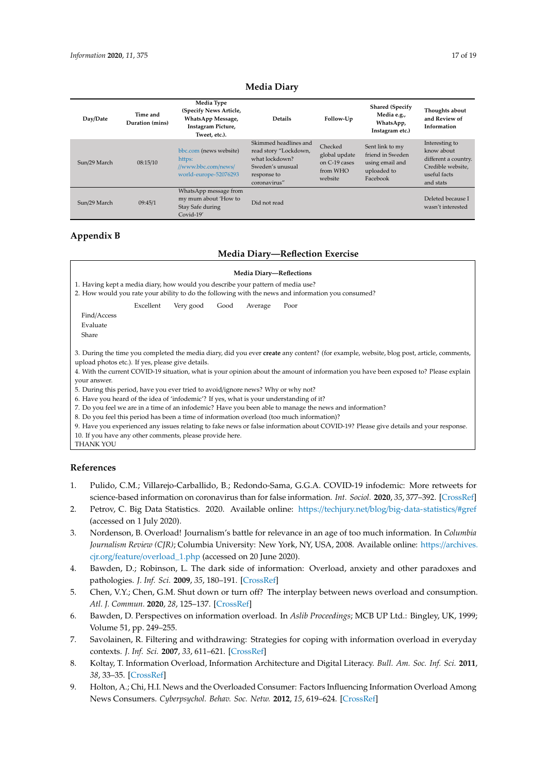## **Media Diary**

| Day/Date     | Time and<br>Duration (mins) | <b>Media Type</b><br>(Specify News Article,<br>WhatsApp Message,<br>Instagram Picture,<br>Tweet, etc.). | <b>Details</b>                                                                                                      | Follow-Up                                                        | <b>Shared (Specify</b><br>Media e.g.,<br>WhatsApp,<br>Instagram etc.)             | Thoughts about<br>and Review of<br>Information                                                         |
|--------------|-----------------------------|---------------------------------------------------------------------------------------------------------|---------------------------------------------------------------------------------------------------------------------|------------------------------------------------------------------|-----------------------------------------------------------------------------------|--------------------------------------------------------------------------------------------------------|
| Sun/29 March | 08:15/10                    | bbc.com (news website)<br>https:<br>//www.bbc.com/news/<br>world-europe-52076293                        | Skimmed headlines and<br>read story "Lockdown,<br>what lockdown?<br>Sweden's unusual<br>response to<br>coronavirus" | Checked<br>global update<br>on C-19 cases<br>from WHO<br>website | Sent link to my<br>friend in Sweden<br>using email and<br>uploaded to<br>Facebook | Interesting to<br>know about<br>different a country.<br>Credible website.<br>useful facts<br>and stats |
| Sun/29 March | 09:45/1                     | WhatsApp message from<br>my mum about 'How to<br>Stay Safe during<br>Covid-19'                          | Did not read                                                                                                        |                                                                  |                                                                                   | Deleted because I<br>wasn't interested                                                                 |

# <span id="page-16-9"></span>**Appendix B**

## **Media Diary—Reflection Exercise**

| <b>Media Diary-Reflections</b><br>1. Having kept a media diary, how would you describe your pattern of media use?                     |           |           |      |         |                                                                                                                                         |  |
|---------------------------------------------------------------------------------------------------------------------------------------|-----------|-----------|------|---------|-----------------------------------------------------------------------------------------------------------------------------------------|--|
|                                                                                                                                       |           |           |      |         | 2. How would you rate your ability to do the following with the news and information you consumed?                                      |  |
|                                                                                                                                       | Excellent | Very good | Good | Average | Poor                                                                                                                                    |  |
| Find/Access                                                                                                                           |           |           |      |         |                                                                                                                                         |  |
| Evaluate                                                                                                                              |           |           |      |         |                                                                                                                                         |  |
| Share                                                                                                                                 |           |           |      |         |                                                                                                                                         |  |
|                                                                                                                                       |           |           |      |         |                                                                                                                                         |  |
|                                                                                                                                       |           |           |      |         | 3. During the time you completed the media diary, did you ever create any content? (for example, website, blog post, article, comments, |  |
| upload photos etc.). If yes, please give details.                                                                                     |           |           |      |         |                                                                                                                                         |  |
| 4. With the current COVID-19 situation, what is your opinion about the amount of information you have been exposed to? Please explain |           |           |      |         |                                                                                                                                         |  |
| your answer.                                                                                                                          |           |           |      |         |                                                                                                                                         |  |
| 5. During this period, have you ever tried to avoid/ignore news? Why or why not?                                                      |           |           |      |         |                                                                                                                                         |  |
| 6. Have you heard of the idea of 'infodemic'? If yes, what is your understanding of it?                                               |           |           |      |         |                                                                                                                                         |  |
| 7. Do you feel we are in a time of an infodemic? Have you been able to manage the news and information?                               |           |           |      |         |                                                                                                                                         |  |
| 8. Do you feel this period has been a time of information overload (too much information)?                                            |           |           |      |         |                                                                                                                                         |  |
| 9. Have you experienced any issues relating to fake news or false information about COVID-19? Please give details and your response.  |           |           |      |         |                                                                                                                                         |  |

10. If you have any other comments, please provide here. THANK YOU

## **References**

- <span id="page-16-0"></span>1. Pulido, C.M.; Villarejo-Carballido, B.; Redondo-Sama, G.G.A. COVID-19 infodemic: More retweets for science-based information on coronavirus than for false information. *Int. Sociol.* **2020**, *35*, 377–392. [\[CrossRef\]](http://dx.doi.org/10.1177/0268580920914755)
- <span id="page-16-1"></span>2. Petrov, C. Big Data Statistics. 2020. Available online: https://techjury.net/blog/[big-data-statistics](https://techjury.net/blog/big-data-statistics/#gref)/#gref (accessed on 1 July 2020).
- <span id="page-16-2"></span>3. Nordenson, B. Overload! Journalism's battle for relevance in an age of too much information. In *Columbia Journalism Review (CJR)*; Columbia University: New York, NY, USA, 2008. Available online: https://[archives.](https://archives.cjr.org/feature/overload_1.php) cjr.org/feature/[overload\\_1.php](https://archives.cjr.org/feature/overload_1.php) (accessed on 20 June 2020).
- <span id="page-16-3"></span>4. Bawden, D.; Robinson, L. The dark side of information: Overload, anxiety and other paradoxes and pathologies. *J. Inf. Sci.* **2009**, *35*, 180–191. [\[CrossRef\]](http://dx.doi.org/10.1177/0165551508095781)
- <span id="page-16-4"></span>5. Chen, V.Y.; Chen, G.M. Shut down or turn off? The interplay between news overload and consumption. *Atl. J. Commun.* **2020**, *28*, 125–137. [\[CrossRef\]](http://dx.doi.org/10.1080/15456870.2019.1616738)
- <span id="page-16-5"></span>6. Bawden, D. Perspectives on information overload. In *Aslib Proceedings*; MCB UP Ltd.: Bingley, UK, 1999; Volume 51, pp. 249–255.
- <span id="page-16-6"></span>7. Savolainen, R. Filtering and withdrawing: Strategies for coping with information overload in everyday contexts. *J. Inf. Sci.* **2007**, *33*, 611–621. [\[CrossRef\]](http://dx.doi.org/10.1177/0165551506077418)
- <span id="page-16-7"></span>8. Koltay, T. Information Overload, Information Architecture and Digital Literacy. *Bull. Am. Soc. Inf. Sci.* **2011**, *38*, 33–35. [\[CrossRef\]](http://dx.doi.org/10.1002/bult.2011.1720380111)
- <span id="page-16-8"></span>9. Holton, A.; Chi, H.I. News and the Overloaded Consumer: Factors Influencing Information Overload Among News Consumers. *Cyberpsychol. Behav. Soc. Netw.* **2012**, *15*, 619–624. [\[CrossRef\]](http://dx.doi.org/10.1089/cyber.2011.0610)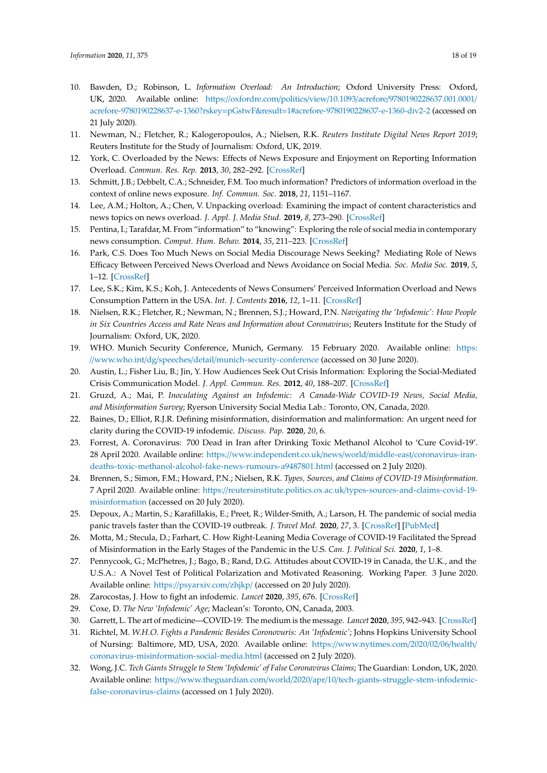- <span id="page-17-0"></span>10. Bawden, D.; Robinson, L. *Information Overload: An Introduction*; Oxford University Press: Oxford, UK, 2020. Available online: https://oxfordre.com/politics/view/10.1093/acrefore/[9780190228637.001.0001](https://oxfordre.com/politics/view/10.1093/acrefore/9780190228637.001.0001/acrefore-9780190228637-e-1360?rskey=pGstwF&result=1#acrefore-9780190228637-e-1360-div2-2)/ acrefore-9780190228637-e-1360?rskey=pGstwF&result=[1#acrefore-9780190228637-e-1360-div2-2](https://oxfordre.com/politics/view/10.1093/acrefore/9780190228637.001.0001/acrefore-9780190228637-e-1360?rskey=pGstwF&result=1#acrefore-9780190228637-e-1360-div2-2) (accessed on 21 July 2020).
- <span id="page-17-1"></span>11. Newman, N.; Fletcher, R.; Kalogeropoulos, A.; Nielsen, R.K. *Reuters Institute Digital News Report 2019*; Reuters Institute for the Study of Journalism: Oxford, UK, 2019.
- <span id="page-17-2"></span>12. York, C. Overloaded by the News: Effects of News Exposure and Enjoyment on Reporting Information Overload. *Commun. Res. Rep.* **2013**, *30*, 282–292. [\[CrossRef\]](http://dx.doi.org/10.1080/08824096.2013.836628)
- <span id="page-17-3"></span>13. Schmitt, J.B.; Debbelt, C.A.; Schneider, F.M. Too much information? Predictors of information overload in the context of online news exposure. *Inf. Commun. Soc.* **2018**, *21*, 1151–1167.
- <span id="page-17-4"></span>14. Lee, A.M.; Holton, A.; Chen, V. Unpacking overload: Examining the impact of content characteristics and news topics on news overload. *J. Appl. J. Media Stud.* **2019**, *8*, 273–290. [\[CrossRef\]](http://dx.doi.org/10.1386/ajms_00002_1)
- <span id="page-17-5"></span>15. Pentina, I.; Tarafdar, M. From "information" to "knowing": Exploring the role of social media in contemporary news consumption. *Comput. Hum. Behav.* **2014**, *35*, 211–223. [\[CrossRef\]](http://dx.doi.org/10.1016/j.chb.2014.02.045)
- <span id="page-17-6"></span>16. Park, C.S. Does Too Much News on Social Media Discourage News Seeking? Mediating Role of News Efficacy Between Perceived News Overload and News Avoidance on Social Media. *Soc. Media Soc.* **2019**, *5*, 1–12. [\[CrossRef\]](http://dx.doi.org/10.1177/2056305119872956)
- <span id="page-17-7"></span>17. Lee, S.K.; Kim, K.S.; Koh, J. Antecedents of News Consumers' Perceived Information Overload and News Consumption Pattern in the USA. *Int. J. Contents* **2016**, *12*, 1–11. [\[CrossRef\]](http://dx.doi.org/10.5392/IJoC.2016.12.3.001)
- <span id="page-17-8"></span>18. Nielsen, R.K.; Fletcher, R.; Newman, N.; Brennen, S.J.; Howard, P.N. *Navigating the 'Infodemic': How People in Six Countries Access and Rate News and Information about Coronavirus*; Reuters Institute for the Study of Journalism: Oxford, UK, 2020.
- <span id="page-17-9"></span>19. WHO. Munich Security Conference, Munich, Germany. 15 February 2020. Available online: [https:](https://www.who.int/dg/speeches/detail/munich-security-conference) //www.who.int/dg/speeches/detail/[munich-security-conference](https://www.who.int/dg/speeches/detail/munich-security-conference) (accessed on 30 June 2020).
- <span id="page-17-10"></span>20. Austin, L.; Fisher Liu, B.; Jin, Y. How Audiences Seek Out Crisis Information: Exploring the Social-Mediated Crisis Communication Model. *J. Appl. Commun. Res.* **2012**, *40*, 188–207. [\[CrossRef\]](http://dx.doi.org/10.1080/00909882.2012.654498)
- <span id="page-17-11"></span>21. Gruzd, A.; Mai, P. *Inoculating Against an Infodemic: A Canada-Wide COVID-19 News, Social Media, and Misinformation Survey*; Ryerson University Social Media Lab.: Toronto, ON, Canada, 2020.
- <span id="page-17-12"></span>22. Baines, D.; Elliot, R.J.R. Defining misinformation, disinformation and malinformation: An urgent need for clarity during the COVID-19 infodemic. *Discuss. Pap.* **2020**, *20*, 6.
- <span id="page-17-13"></span>23. Forrest, A. Coronavirus: 700 Dead in Iran after Drinking Toxic Methanol Alcohol to 'Cure Covid-19'. 28 April 2020. Available online: https://[www.independent.co.uk](https://www.independent.co.uk/news/world/middle-east/coronavirus-iran-deaths-toxic-methanol-alcohol-fake-news-rumours-a9487801.html)/news/world/middle-east/coronavirus-iran[deaths-toxic-methanol-alcohol-fake-news-rumours-a9487801.html](https://www.independent.co.uk/news/world/middle-east/coronavirus-iran-deaths-toxic-methanol-alcohol-fake-news-rumours-a9487801.html) (accessed on 2 July 2020).
- <span id="page-17-14"></span>24. Brennen, S.; Simon, F.M.; Howard, P.N.; Nielsen, R.K. *Types, Sources, and Claims of COVID-19 Misinformation*. 7 April 2020. Available online: https://reutersinstitute.politics.ox.ac.uk/[types-sources-and-claims-covid-19](https://reutersinstitute.politics.ox.ac.uk/types-sources-and-claims-covid-19-misinformation) [misinformation](https://reutersinstitute.politics.ox.ac.uk/types-sources-and-claims-covid-19-misinformation) (accessed on 20 July 2020).
- <span id="page-17-15"></span>25. Depoux, A.; Martin, S.; Karafillakis, E.; Preet, R.; Wilder-Smith, A.; Larson, H. The pandemic of social media panic travels faster than the COVID-19 outbreak. *J. Travel Med.* **2020**, *27*, 3. [\[CrossRef\]](http://dx.doi.org/10.1093/jtm/taaa031) [\[PubMed\]](http://www.ncbi.nlm.nih.gov/pubmed/32125413)
- <span id="page-17-16"></span>26. Motta, M.; Stecula, D.; Farhart, C. How Right-Leaning Media Coverage of COVID-19 Facilitated the Spread of Misinformation in the Early Stages of the Pandemic in the U.S. *Can. J. Political Sci.* **2020**, *1*, 1–8.
- <span id="page-17-17"></span>27. Pennycook, G.; McPhetres, J.; Bago, B.; Rand, D.G. Attitudes about COVID-19 in Canada, the U.K., and the U.S.A.: A Novel Test of Political Polarization and Motivated Reasoning. Working Paper. 3 June 2020. Available online: https://[psyarxiv.com](https://psyarxiv.com/zhjkp/)/zhjkp/ (accessed on 20 July 2020).
- <span id="page-17-18"></span>28. Zarocostas, J. How to fight an infodemic. *Lancet* **2020**, *395*, 676. [\[CrossRef\]](http://dx.doi.org/10.1016/S0140-6736(20)30461-X)
- <span id="page-17-19"></span>29. Coxe, D. *The New 'Infodemic' Age*; Maclean's: Toronto, ON, Canada, 2003.
- <span id="page-17-20"></span>30. Garrett, L. The art of medicine—COVID-19: The medium is the message. *Lancet* **2020**, *395*, 942–943. [\[CrossRef\]](http://dx.doi.org/10.1016/S0140-6736(20)30600-0)
- <span id="page-17-21"></span>31. Richtel, M. *W.H.O. Fights a Pandemic Besides Coronovuris: An 'Infodemic'*; Johns Hopkins University School of Nursing: Baltimore, MD, USA, 2020. Available online: https://[www.nytimes.com](https://www.nytimes.com/2020/02/06/health/coronavirus-misinformation-social-media.html)/2020/02/06/health/ [coronavirus-misinformation-social-media.html](https://www.nytimes.com/2020/02/06/health/coronavirus-misinformation-social-media.html) (accessed on 2 July 2020).
- <span id="page-17-22"></span>32. Wong, J.C. *Tech Giants Struggle to Stem 'Infodemic' of False Coronavirus Claims*; The Guardian: London, UK, 2020. Available online: https://www.theguardian.com/world/2020/apr/10/[tech-giants-struggle-stem-infodemic](https://www.theguardian.com/world/2020/apr/10/tech-giants-struggle-stem-infodemic-false-coronavirus-claims)[false-coronavirus-claims](https://www.theguardian.com/world/2020/apr/10/tech-giants-struggle-stem-infodemic-false-coronavirus-claims) (accessed on 1 July 2020).